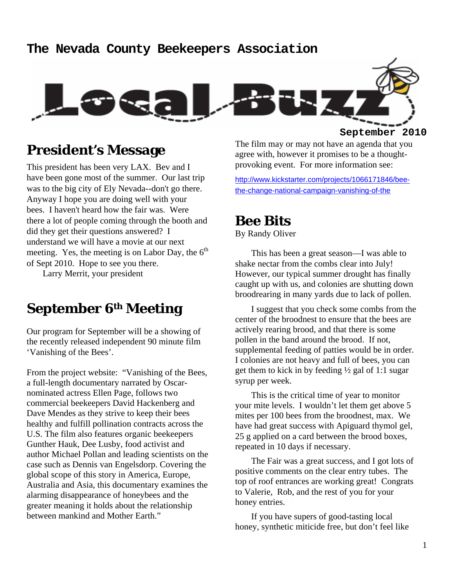### **The Nevada County Beekeepers Association**



## **President's Message**

This president has been very LAX. Bev and I have been gone most of the summer. Our last trip was to the big city of Ely Nevada--don't go there. Anyway I hope you are doing well with your bees. I haven't heard how the fair was. Were there a lot of people coming through the booth and did they get their questions answered? I understand we will have a movie at our next meeting. Yes, the meeting is on Labor Day, the  $6<sup>th</sup>$ of Sept 2010. Hope to see you there.

Larry Merrit, your president

## **September 6th Meeting**

Our program for September will be a showing of the recently released independent 90 minute film 'Vanishing of the Bees'.

From the project website: "Vanishing of the Bees, a full-length documentary narrated by Oscarnominated actress Ellen Page, follows two commercial beekeepers David Hackenberg and Dave Mendes as they strive to keep their bees healthy and fulfill pollination contracts across the U.S. The film also features organic beekeepers Gunther Hauk, Dee Lusby, food activist and author Michael Pollan and leading scientists on the case such as Dennis van Engelsdorp. Covering the global scope of this story in America, Europe, Australia and Asia, this documentary examines the alarming disappearance of honeybees and the greater meaning it holds about the relationship between mankind and Mother Earth."

The film may or may not have an agenda that you agree with, however it promises to be a thoughtprovoking event. For more information see:

http://www.kickstarter.com/projects/1066171846/beethe-change-national-campaign-vanishing-of-the

### **Bee Bits**

By Randy Oliver

This has been a great season—I was able to shake nectar from the combs clear into July! However, our typical summer drought has finally caught up with us, and colonies are shutting down broodrearing in many yards due to lack of pollen.

I suggest that you check some combs from the center of the broodnest to ensure that the bees are actively rearing brood, and that there is some pollen in the band around the brood. If not, supplemental feeding of patties would be in order. I colonies are not heavy and full of bees, you can get them to kick in by feeding  $\frac{1}{2}$  gal of 1:1 sugar syrup per week.

This is the critical time of year to monitor your mite levels. I wouldn't let them get above 5 mites per 100 bees from the broodnest, max. We have had great success with Apiguard thymol gel, 25 g applied on a card between the brood boxes, repeated in 10 days if necessary.

The Fair was a great success, and I got lots of positive comments on the clear entry tubes. The top of roof entrances are working great! Congrats to Valerie, Rob, and the rest of you for your honey entries.

If you have supers of good-tasting local honey, synthetic miticide free, but don't feel like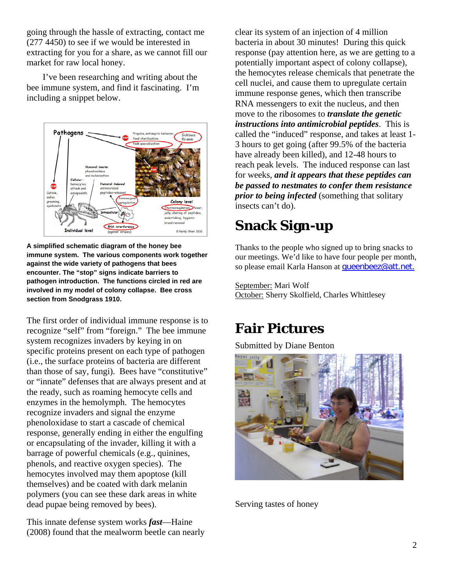going through the hassle of extracting, contact me (277 4450) to see if we would be interested in extracting for you for a share, as we cannot fill our market for raw local honey.

I've been researching and writing about the bee immune system, and find it fascinating. I'm including a snippet below.



**A simplified schematic diagram of the honey bee immune system. The various components work together against the wide variety of pathogens that bees encounter. The "stop" signs indicate barriers to pathogen introduction. The functions circled in red are involved in my model of colony collapse. Bee cross section from Snodgrass 1910.** 

The first order of individual immune response is to recognize "self" from "foreign." The bee immune system recognizes invaders by keying in on specific proteins present on each type of pathogen (i.e., the surface proteins of bacteria are different than those of say, fungi). Bees have "constitutive" or "innate" defenses that are always present and at the ready, such as roaming hemocyte cells and enzymes in the hemolymph. The hemocytes recognize invaders and signal the enzyme phenoloxidase to start a cascade of chemical response, generally ending in either the engulfing or encapsulating of the invader, killing it with a barrage of powerful chemicals (e.g., quinines, phenols, and reactive oxygen species). The hemocytes involved may them apoptose (kill themselves) and be coated with dark melanin polymers (you can see these dark areas in white dead pupae being removed by bees).

This innate defense system works *fast*—Haine (2008) found that the mealworm beetle can nearly

clear its system of an injection of 4 million bacteria in about 30 minutes! During this quick response (pay attention here, as we are getting to a potentially important aspect of colony collapse), the hemocytes release chemicals that penetrate the cell nuclei, and cause them to upregulate certain immune response genes, which then transcribe RNA messengers to exit the nucleus, and then move to the ribosomes to *translate the genetic instructions into antimicrobial peptides*. This is called the "induced" response, and takes at least 1- 3 hours to get going (after 99.5% of the bacteria have already been killed), and 12-48 hours to reach peak levels. The induced response can last for weeks, *and it appears that these peptides can be passed to nestmates to confer them resistance prior to being infected* (something that solitary insects can't do).

# **Snack Sign-up**

Thanks to the people who signed up to bring snacks to our meetings. We'd like to have four people per month, so please email Karla Hanson at queenbeez@att.net.

September: Mari Wolf October: Sherry Skolfield, Charles Whittlesey

# **Fair Pictures**

Submitted by Diane Benton



Serving tastes of honey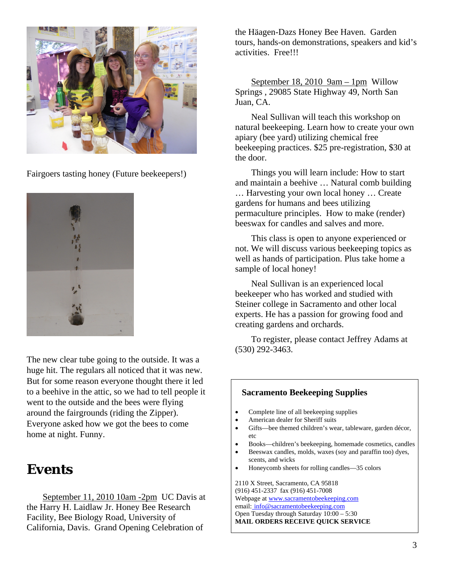

Fairgoers tasting honey (Future beekeepers!)



The new clear tube going to the outside. It was a huge hit. The regulars all noticed that it was new. But for some reason everyone thought there it led to a beehive in the attic, so we had to tell people it went to the outside and the bees were flying around the fairgrounds (riding the Zipper). Everyone asked how we got the bees to come home at night. Funny.

## **Events**

September 11, 2010 10am -2pm UC Davis at the Harry H. Laidlaw Jr. Honey Bee Research Facility, Bee Biology Road, University of California, Davis. Grand Opening Celebration of

the Häagen-Dazs Honey Bee Haven. Garden tours, hands-on demonstrations, speakers and kid's activities. Free!!!

September 18, 2010 9am – 1pm Willow Springs , 29085 State Highway 49, North San Juan, CA.

Neal Sullivan will teach this workshop on natural beekeeping. Learn how to create your own apiary (bee yard) utilizing chemical free beekeeping practices. \$25 pre-registration, \$30 at the door.

Things you will learn include: How to start and maintain a beehive … Natural comb building … Harvesting your own local honey … Create gardens for humans and bees utilizing permaculture principles. How to make (render) beeswax for candles and salves and more.

This class is open to anyone experienced or not. We will discuss various beekeeping topics as well as hands of participation. Plus take home a sample of local honey!

Neal Sullivan is an experienced local beekeeper who has worked and studied with Steiner college in Sacramento and other local experts. He has a passion for growing food and creating gardens and orchards.

To register, please contact Jeffrey Adams at (530) 292-3463.

#### **Sacramento Beekeeping Supplies**  • Complete line of all beekeeping supplies • American dealer for Sheriff suits • Gifts—bee themed children's wear, tableware, garden décor, etc • Books—children's beekeeping, homemade cosmetics, candles • Beeswax candles, molds, waxes (soy and paraffin too) dyes, scents, and wicks • Honeycomb sheets for rolling candles—35 colors

2110 X Street, Sacramento, CA 95818 (916) 451-2337 fax (916) 451-7008 Webpage at www.sacramentobeekeeping.com email: info@sacramentobeekeeping.com Open Tuesday through Saturday 10:00 – 5:30 **MAIL ORDERS RECEIVE QUICK SERVICE**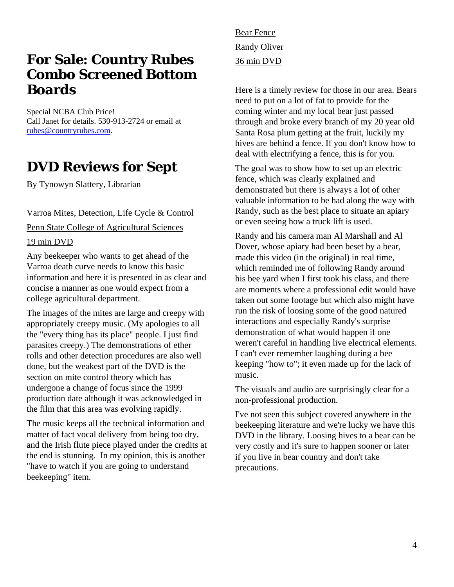## **For Sale: Country Rubes Combo Screened Bottom Boards**

Special NCBA Club Price! Call Janet for details. 530-913-2724 or email at rubes@countryrubes.com.

# **DVD Reviews for Sept**

By Tynowyn Slattery, Librarian

#### Varroa Mites, Detection, Life Cycle & Control

Penn State College of Agricultural Sciences

#### 19 min DVD

Any beekeeper who wants to get ahead of the Varroa death curve needs to know this basic information and here it is presented in as clear and concise a manner as one would expect from a college agricultural department.

The images of the mites are large and creepy with appropriately creepy music. (My apologies to all the "every thing has its place" people. I just find parasites creepy.) The demonstrations of ether rolls and other detection procedures are also well done, but the weakest part of the DVD is the section on mite control theory which has undergone a change of focus since the 1999 production date although it was acknowledged in the film that this area was evolving rapidly.

The music keeps all the technical information and matter of fact vocal delivery from being too dry, and the Irish flute piece played under the credits at the end is stunning. In my opinion, this is another "have to watch if you are going to understand beekeeping" item.

Bear Fence Randy Oliver 36 min DVD

Here is a timely review for those in our area. Bears need to put on a lot of fat to provide for the coming winter and my local bear just passed through and broke every branch of my 20 year old Santa Rosa plum getting at the fruit, luckily my hives are behind a fence. If you don't know how to deal with electrifying a fence, this is for you.

The goal was to show how to set up an electric fence, which was clearly explained and demonstrated but there is always a lot of other valuable information to be had along the way with Randy, such as the best place to situate an apiary or even seeing how a truck lift is used.

Randy and his camera man Al Marshall and Al Dover, whose apiary had been beset by a bear, made this video (in the original) in real time, which reminded me of following Randy around his bee yard when I first took his class, and there are moments where a professional edit would have taken out some footage but which also might have run the risk of loosing some of the good natured interactions and especially Randy's surprise demonstration of what would happen if one weren't careful in handling live electrical elements. I can't ever remember laughing during a bee keeping "how to"; it even made up for the lack of music.

The visuals and audio are surprisingly clear for a non-professional production.

I've not seen this subject covered anywhere in the beekeeping literature and we're lucky we have this DVD in the library. Loosing hives to a bear can be very costly and it's sure to happen sooner or later if you live in bear country and don't take precautions.